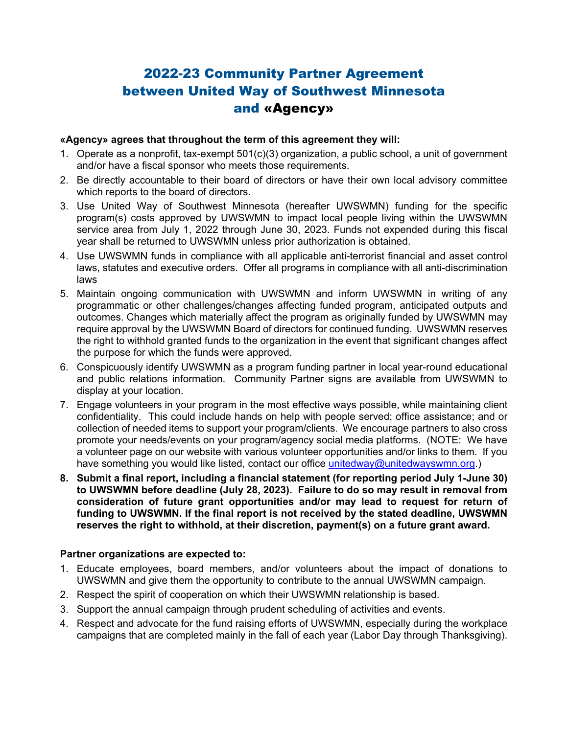# 2022-23 Community Partner Agreement between United Way of Southwest Minnesota and «Agency»

## **«Agency» agrees that throughout the term of this agreement they will:**

- 1. Operate as a nonprofit, tax-exempt 501(c)(3) organization, a public school, a unit of government and/or have a fiscal sponsor who meets those requirements.
- 2. Be directly accountable to their board of directors or have their own local advisory committee which reports to the board of directors.
- 3. Use United Way of Southwest Minnesota (hereafter UWSWMN) funding for the specific program(s) costs approved by UWSWMN to impact local people living within the UWSWMN service area from July 1, 2022 through June 30, 2023. Funds not expended during this fiscal year shall be returned to UWSWMN unless prior authorization is obtained.
- 4. Use UWSWMN funds in compliance with all applicable anti-terrorist financial and asset control laws, statutes and executive orders. Offer all programs in compliance with all anti-discrimination laws
- 5. Maintain ongoing communication with UWSWMN and inform UWSWMN in writing of any programmatic or other challenges/changes affecting funded program, anticipated outputs and outcomes. Changes which materially affect the program as originally funded by UWSWMN may require approval by the UWSWMN Board of directors for continued funding. UWSWMN reserves the right to withhold granted funds to the organization in the event that significant changes affect the purpose for which the funds were approved.
- 6. Conspicuously identify UWSWMN as a program funding partner in local year-round educational and public relations information. Community Partner signs are available from UWSWMN to display at your location.
- 7. Engage volunteers in your program in the most effective ways possible, while maintaining client confidentiality. This could include hands on help with people served; office assistance; and or collection of needed items to support your program/clients. We encourage partners to also cross promote your needs/events on your program/agency social media platforms. (NOTE: We have a volunteer page on our website with various volunteer opportunities and/or links to them. If you have something you would like listed, contact our office unitedway@unitedwayswmn.org.)
- **8. Submit a final report, including a financial statement (for reporting period July 1-June 30) to UWSWMN before deadline (July 28, 2023). Failure to do so may result in removal from consideration of future grant opportunities and/or may lead to request for return of funding to UWSWMN. If the final report is not received by the stated deadline, UWSWMN reserves the right to withhold, at their discretion, payment(s) on a future grant award.**

## **Partner organizations are expected to:**

- 1. Educate employees, board members, and/or volunteers about the impact of donations to UWSWMN and give them the opportunity to contribute to the annual UWSWMN campaign.
- 2. Respect the spirit of cooperation on which their UWSWMN relationship is based.
- 3. Support the annual campaign through prudent scheduling of activities and events.
- 4. Respect and advocate for the fund raising efforts of UWSWMN, especially during the workplace campaigns that are completed mainly in the fall of each year (Labor Day through Thanksgiving).